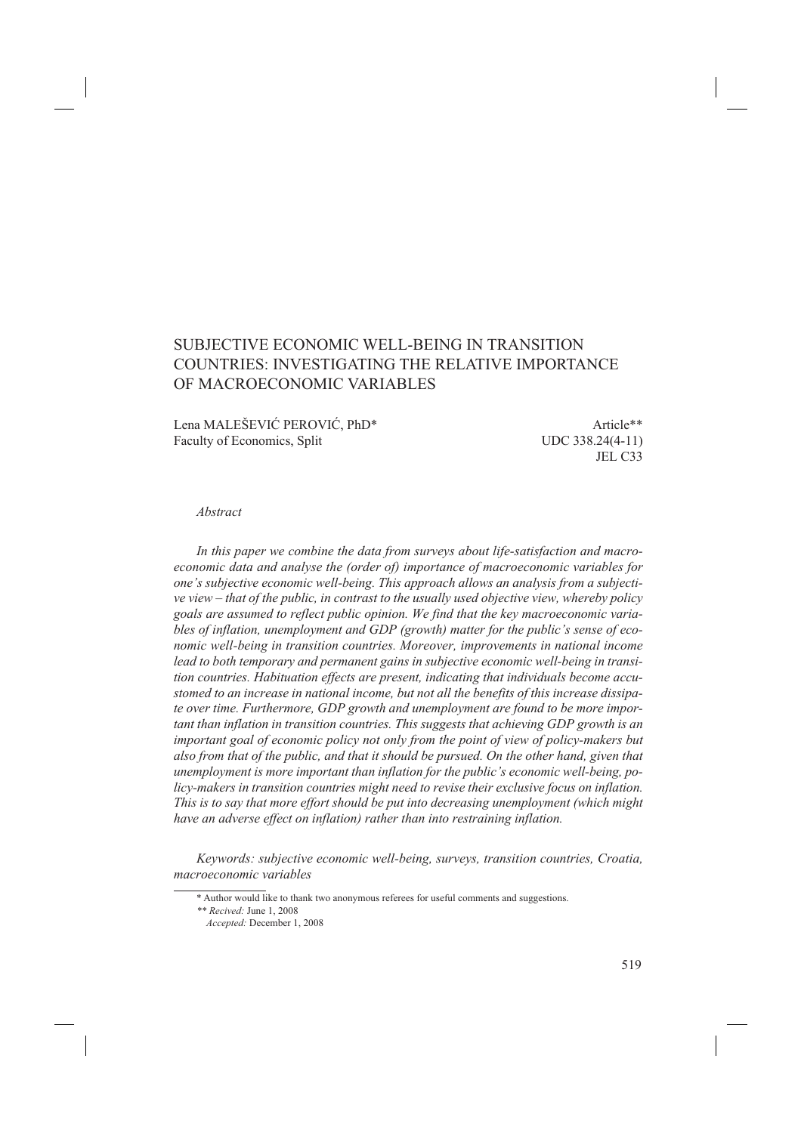# SUBJECTIVE ECONOMIC WELL-BEING IN TRANSITION COUNTRIES: INVESTIGATING THE RELATIVE IMPORTANCE OF MACROECONOMIC VARIABLES

Lena MALEŠEVIĆ PEROVIĆ, PhD\* Article\*\* Faculty of Economics, Split UDC 338.24(4-11)

JEL C33

## *Abstract*

*In this paper we combine the data from surveys about life-satisfaction and macroeconomic data and analyse the (order of) importance of macroeconomic variables for one's subjective economic well-being. This approach allows an analysis from a subjective view – that of the public, in contrast to the usually used objective view, whereby policy goals are assumed to reflect public opinion. We find that the key macroeconomic variables of inflation, unemployment and GDP (growth) matter for the public's sense of economic well-being in transition countries. Moreover, improvements in national income lead to both temporary and permanent gains in subjective economic well-being in transition countries. Habituation effects are present, indicating that individuals become accustomed to an increase in national income, but not all the benefits of this increase dissipate over time. Furthermore, GDP growth and unemployment are found to be more important than inflation in transition countries. This suggests that achieving GDP growth is an important goal of economic policy not only from the point of view of policy-makers but also from that of the public, and that it should be pursued. On the other hand, given that unemployment is more important than inflation for the public's economic well-being, policy-makers in transition countries might need to revise their exclusive focus on inflation. This is to say that more effort should be put into decreasing unemployment (which might have an adverse effect on inflation) rather than into restraining inflation.*

*Keywords: subjective economic well-being, surveys, transition countries, Croatia, macroeconomic variables*

<sup>\*</sup> Author would like to thank two anonymous referees for useful comments and suggestions.

*<sup>\*\*</sup> Recived:* June 1, 2008

*Accepted:* December 1, 2008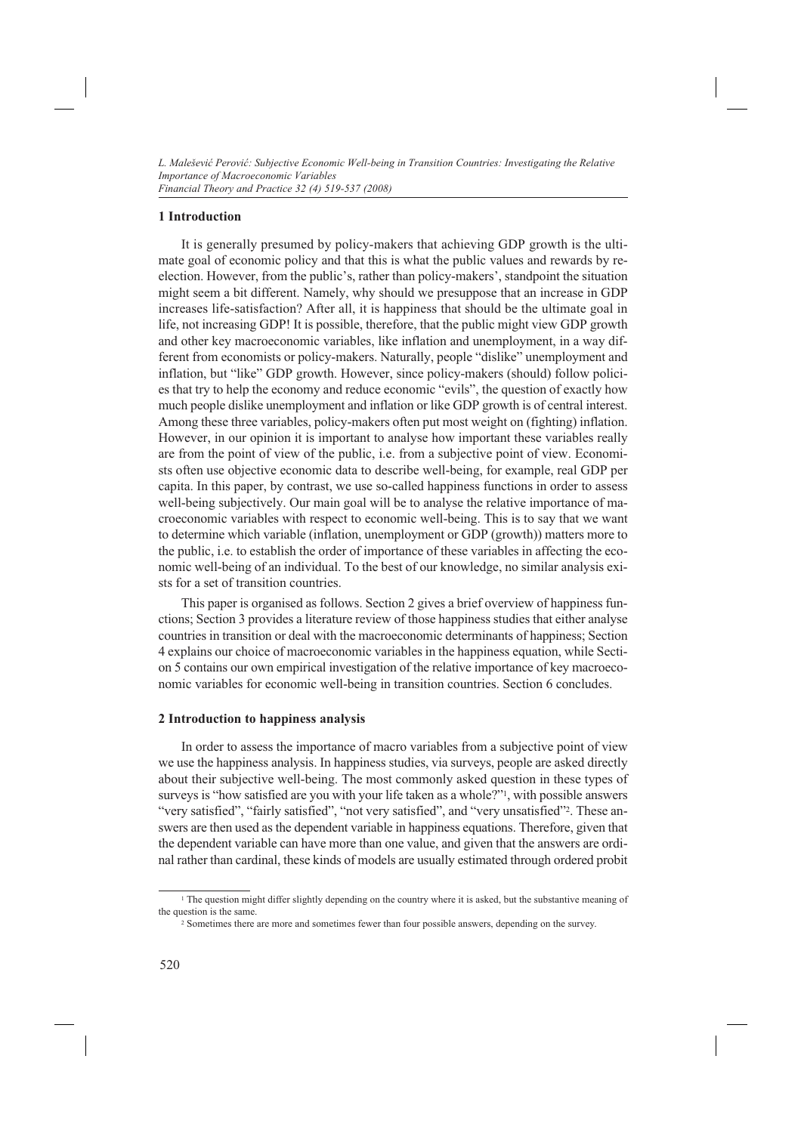## **1 Introduction**

It is generally presumed by policy-makers that achieving GDP growth is the ultimate goal of economic policy and that this is what the public values and rewards by reelection. However, from the public's, rather than policy-makers', standpoint the situation might seem a bit different. Namely, why should we presuppose that an increase in GDP increases life-satisfaction? After all, it is happiness that should be the ultimate goal in life, not increasing GDP! It is possible, therefore, that the public might view GDP growth and other key macroeconomic variables, like inflation and unemployment, in a way different from economists or policy-makers. Naturally, people "dislike" unemployment and inflation, but "like" GDP growth. However, since policy-makers (should) follow policies that try to help the economy and reduce economic "evils", the question of exactly how much people dislike unemployment and inflation or like GDP growth is of central interest. Among these three variables, policy-makers often put most weight on (fighting) inflation. However, in our opinion it is important to analyse how important these variables really are from the point of view of the public, i.e. from a subjective point of view. Economists often use objective economic data to describe well-being, for example, real GDP per capita. In this paper, by contrast, we use so-called happiness functions in order to assess well-being subjectively. Our main goal will be to analyse the relative importance of macroeconomic variables with respect to economic well-being. This is to say that we want to determine which variable (inflation, unemployment or GDP (growth)) matters more to the public, i.e. to establish the order of importance of these variables in affecting the economic well-being of an individual. To the best of our knowledge, no similar analysis exists for a set of transition countries.

This paper is organised as follows. Section 2 gives a brief overview of happiness functions; Section 3 provides a literature review of those happiness studies that either analyse countries in transition or deal with the macroeconomic determinants of happiness; Section 4 explains our choice of macroeconomic variables in the happiness equation, while Section 5 contains our own empirical investigation of the relative importance of key macroeconomic variables for economic well-being in transition countries. Section 6 concludes.

#### **2 Introduction to happiness analysis**

In order to assess the importance of macro variables from a subjective point of view we use the happiness analysis. In happiness studies, via surveys, people are asked directly about their subjective well-being. The most commonly asked question in these types of surveys is "how satisfied are you with your life taken as a whole?"<sup>1</sup>, with possible answers "very satisfied", "fairly satisfied", "not very satisfied", and "very unsatisfied"2. These answers are then used as the dependent variable in happiness equations. Therefore, given that the dependent variable can have more than one value, and given that the answers are ordinal rather than cardinal, these kinds of models are usually estimated through ordered probit

<sup>&</sup>lt;sup>1</sup> The question might differ slightly depending on the country where it is asked, but the substantive meaning of the question is the same.

<sup>2</sup> Sometimes there are more and sometimes fewer than four possible answers, depending on the survey.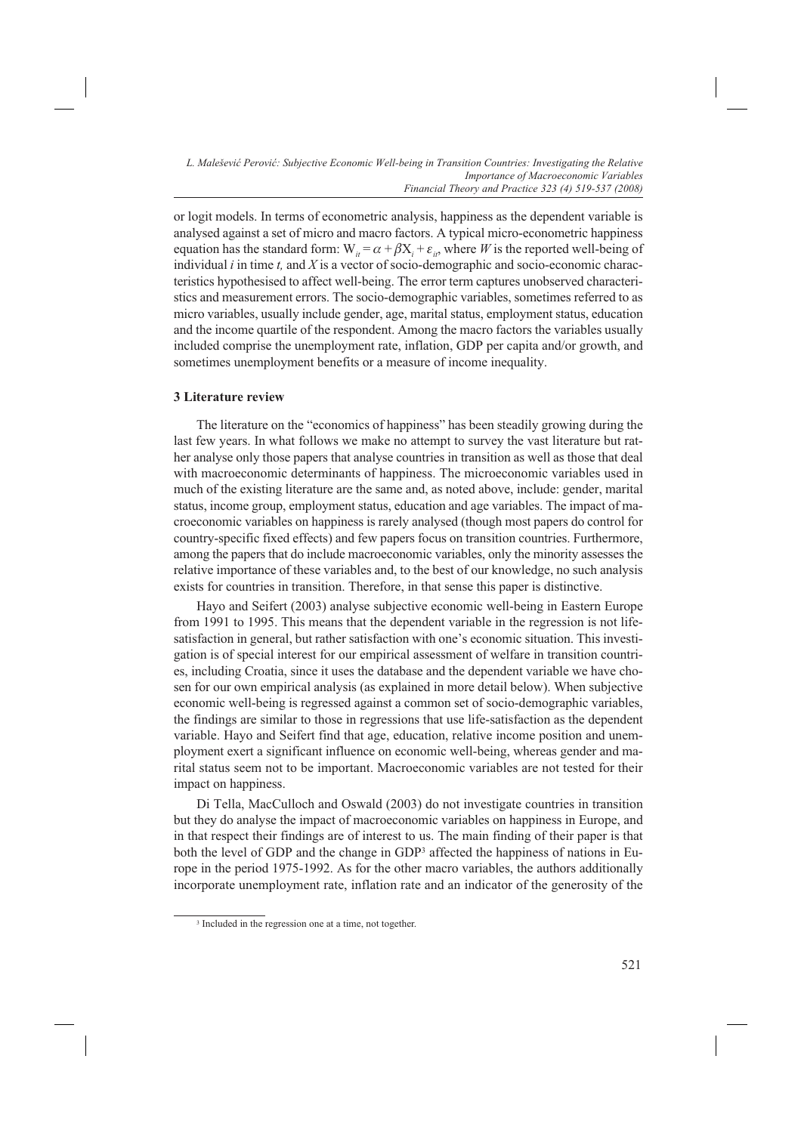or logit models. In terms of econometric analysis, happiness as the dependent variable is analysed against a set of micro and macro factors. A typical micro-econometric happiness equation has the standard form:  $W_{ii} = \alpha + \beta X_i + \varepsilon_{ii}$ , where *W* is the reported well-being of individual *i* in time *t,* and *X* is a vector of socio-demographic and socio-economic characteristics hypothesised to affect well-being. The error term captures unobserved characteristics and measurement errors. The socio-demographic variables, sometimes referred to as micro variables, usually include gender, age, marital status, employment status, education and the income quartile of the respondent. Among the macro factors the variables usually included comprise the unemployment rate, inflation, GDP per capita and/or growth, and sometimes unemployment benefits or a measure of income inequality.

## **3 Literature review**

The literature on the "economics of happiness" has been steadily growing during the last few years. In what follows we make no attempt to survey the vast literature but rather analyse only those papers that analyse countries in transition as well as those that deal with macroeconomic determinants of happiness. The microeconomic variables used in much of the existing literature are the same and, as noted above, include: gender, marital status, income group, employment status, education and age variables. The impact of macroeconomic variables on happiness is rarely analysed (though most papers do control for country-specific fixed effects) and few papers focus on transition countries. Furthermore, among the papers that do include macroeconomic variables, only the minority assesses the relative importance of these variables and, to the best of our knowledge, no such analysis exists for countries in transition. Therefore, in that sense this paper is distinctive.

Hayo and Seifert (2003) analyse subjective economic well-being in Eastern Europe from 1991 to 1995. This means that the dependent variable in the regression is not lifesatisfaction in general, but rather satisfaction with one's economic situation. This investigation is of special interest for our empirical assessment of welfare in transition countries, including Croatia, since it uses the database and the dependent variable we have chosen for our own empirical analysis (as explained in more detail below). When subjective economic well-being is regressed against a common set of socio-demographic variables, the findings are similar to those in regressions that use life-satisfaction as the dependent variable. Hayo and Seifert find that age, education, relative income position and unemployment exert a significant influence on economic well-being, whereas gender and marital status seem not to be important. Macroeconomic variables are not tested for their impact on happiness.

Di Tella, MacCulloch and Oswald (2003) do not investigate countries in transition but they do analyse the impact of macroeconomic variables on happiness in Europe, and in that respect their findings are of interest to us. The main finding of their paper is that both the level of GDP and the change in GDP3 affected the happiness of nations in Europe in the period 1975-1992. As for the other macro variables, the authors additionally incorporate unemployment rate, inflation rate and an indicator of the generosity of the

<sup>3</sup> Included in the regression one at a time, not together.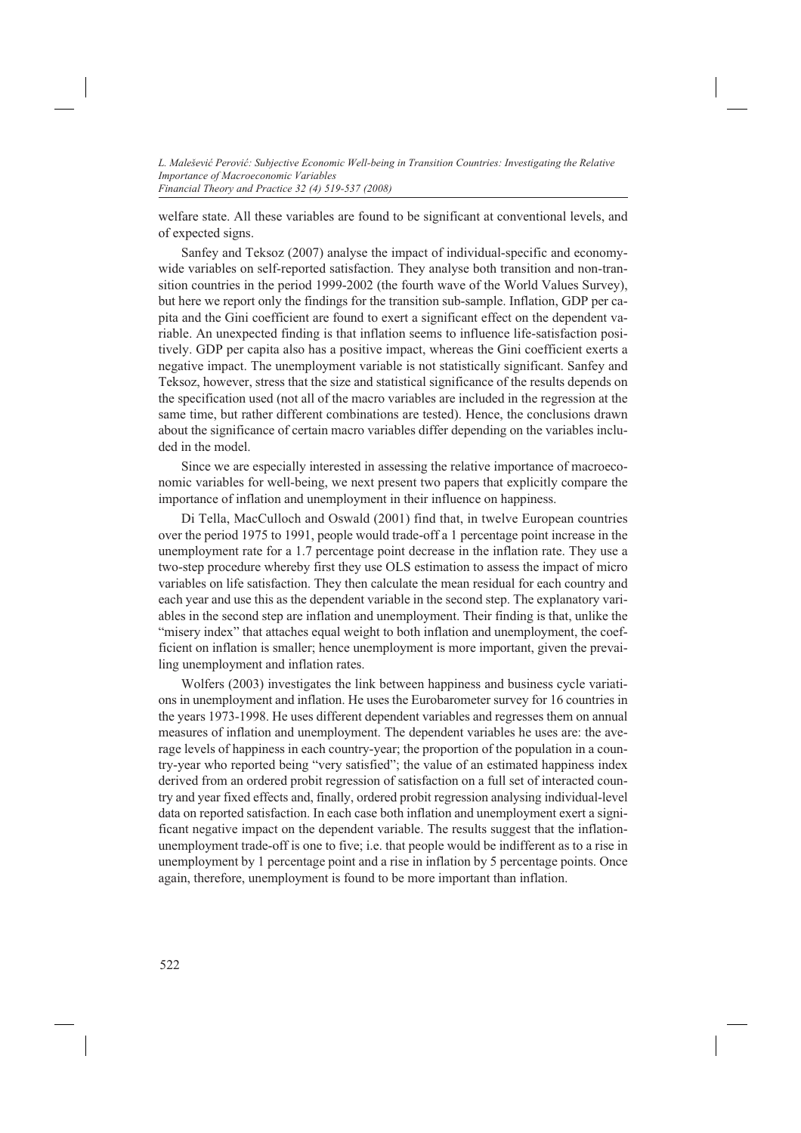welfare state. All these variables are found to be significant at conventional levels, and of expected signs.

Sanfey and Teksoz (2007) analyse the impact of individual-specific and economywide variables on self-reported satisfaction. They analyse both transition and non-transition countries in the period 1999-2002 (the fourth wave of the World Values Survey), but here we report only the findings for the transition sub-sample. Inflation, GDP per capita and the Gini coefficient are found to exert a significant effect on the dependent variable. An unexpected finding is that inflation seems to influence life-satisfaction positively. GDP per capita also has a positive impact, whereas the Gini coefficient exerts a negative impact. The unemployment variable is not statistically significant. Sanfey and Teksoz, however, stress that the size and statistical significance of the results depends on the specification used (not all of the macro variables are included in the regression at the same time, but rather different combinations are tested). Hence, the conclusions drawn about the significance of certain macro variables differ depending on the variables included in the model.

Since we are especially interested in assessing the relative importance of macroeconomic variables for well-being, we next present two papers that explicitly compare the importance of inflation and unemployment in their influence on happiness.

Di Tella, MacCulloch and Oswald (2001) find that, in twelve European countries over the period 1975 to 1991, people would trade-off a 1 percentage point increase in the unemployment rate for a 1.7 percentage point decrease in the inflation rate. They use a two-step procedure whereby first they use OLS estimation to assess the impact of micro variables on life satisfaction. They then calculate the mean residual for each country and each year and use this as the dependent variable in the second step. The explanatory variables in the second step are inflation and unemployment. Their finding is that, unlike the "misery index" that attaches equal weight to both inflation and unemployment, the coefficient on inflation is smaller; hence unemployment is more important, given the prevailing unemployment and inflation rates.

Wolfers (2003) investigates the link between happiness and business cycle variations in unemployment and inflation. He uses the Eurobarometer survey for 16 countries in the years 1973-1998. He uses different dependent variables and regresses them on annual measures of inflation and unemployment. The dependent variables he uses are: the average levels of happiness in each country-year; the proportion of the population in a country-year who reported being "very satisfied"; the value of an estimated happiness index derived from an ordered probit regression of satisfaction on a full set of interacted country and year fixed effects and, finally, ordered probit regression analysing individual-level data on reported satisfaction. In each case both inflation and unemployment exert a significant negative impact on the dependent variable. The results suggest that the inflationunemployment trade-off is one to five; i.e. that people would be indifferent as to a rise in unemployment by 1 percentage point and a rise in inflation by 5 percentage points. Once again, therefore, unemployment is found to be more important than inflation.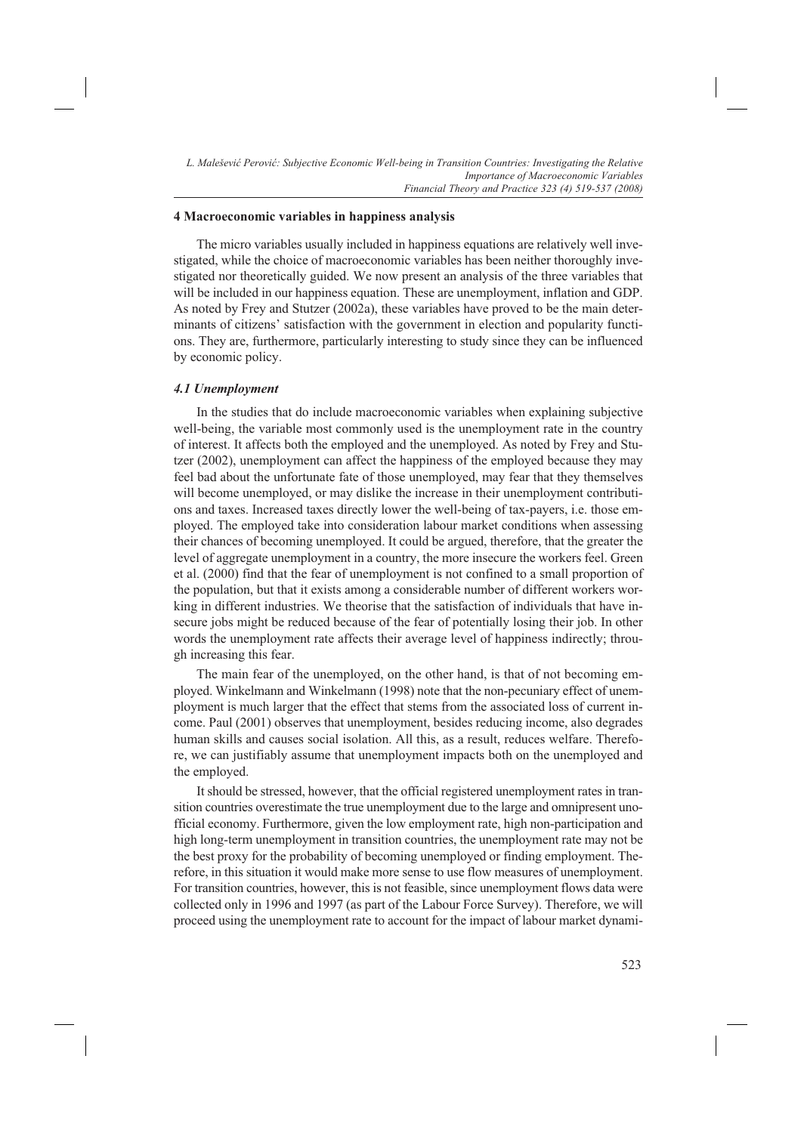# **4 Macroeconomic variables in happiness analysis**

The micro variables usually included in happiness equations are relatively well investigated, while the choice of macroeconomic variables has been neither thoroughly investigated nor theoretically guided. We now present an analysis of the three variables that will be included in our happiness equation. These are unemployment, inflation and GDP. As noted by Frey and Stutzer (2002a), these variables have proved to be the main determinants of citizens' satisfaction with the government in election and popularity functions. They are, furthermore, particularly interesting to study since they can be influenced by economic policy.

## *4.1 Unemployment*

In the studies that do include macroeconomic variables when explaining subjective well-being, the variable most commonly used is the unemployment rate in the country of interest. It affects both the employed and the unemployed. As noted by Frey and Stutzer (2002), unemployment can affect the happiness of the employed because they may feel bad about the unfortunate fate of those unemployed, may fear that they themselves will become unemployed, or may dislike the increase in their unemployment contributions and taxes. Increased taxes directly lower the well-being of tax-payers, i.e. those employed. The employed take into consideration labour market conditions when assessing their chances of becoming unemployed. It could be argued, therefore, that the greater the level of aggregate unemployment in a country, the more insecure the workers feel. Green et al. (2000) find that the fear of unemployment is not confined to a small proportion of the population, but that it exists among a considerable number of different workers working in different industries. We theorise that the satisfaction of individuals that have insecure jobs might be reduced because of the fear of potentially losing their job. In other words the unemployment rate affects their average level of happiness indirectly; through increasing this fear.

The main fear of the unemployed, on the other hand, is that of not becoming employed. Winkelmann and Winkelmann (1998) note that the non-pecuniary effect of unemployment is much larger that the effect that stems from the associated loss of current income. Paul (2001) observes that unemployment, besides reducing income, also degrades human skills and causes social isolation. All this, as a result, reduces welfare. Therefore, we can justifiably assume that unemployment impacts both on the unemployed and the employed.

It should be stressed, however, that the official registered unemployment rates in transition countries overestimate the true unemployment due to the large and omnipresent unofficial economy. Furthermore, given the low employment rate, high non-participation and high long-term unemployment in transition countries, the unemployment rate may not be the best proxy for the probability of becoming unemployed or finding employment. Therefore, in this situation it would make more sense to use flow measures of unemployment. For transition countries, however, this is not feasible, since unemployment flows data were collected only in 1996 and 1997 (as part of the Labour Force Survey). Therefore, we will proceed using the unemployment rate to account for the impact of labour market dynami-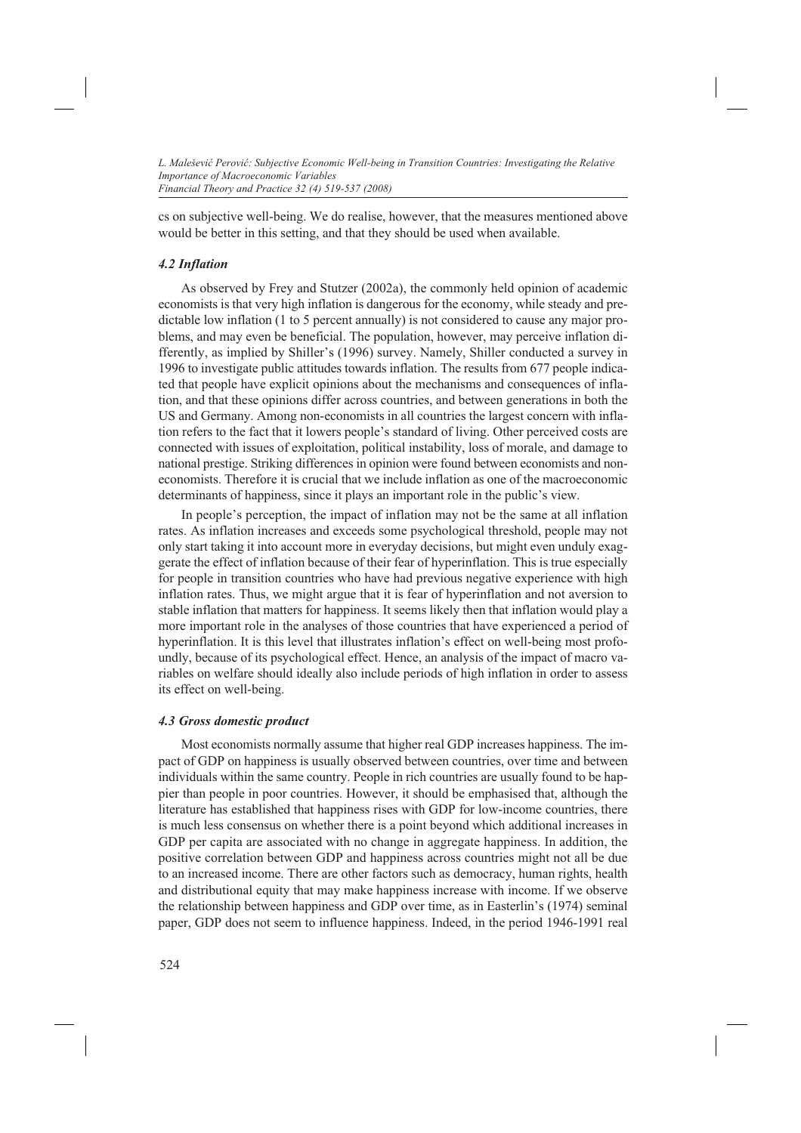cs on subjective well-being. We do realise, however, that the measures mentioned above would be better in this setting, and that they should be used when available.

# *4.2 Inflation*

As observed by Frey and Stutzer (2002a), the commonly held opinion of academic economists is that very high inflation is dangerous for the economy, while steady and predictable low inflation (1 to 5 percent annually) is not considered to cause any major problems, and may even be beneficial. The population, however, may perceive inflation differently, as implied by Shiller's (1996) survey. Namely, Shiller conducted a survey in 1996 to investigate public attitudes towards inflation. The results from 677 people indicated that people have explicit opinions about the mechanisms and consequences of inflation, and that these opinions differ across countries, and between generations in both the US and Germany. Among non-economists in all countries the largest concern with inflation refers to the fact that it lowers people's standard of living. Other perceived costs are connected with issues of exploitation, political instability, loss of morale, and damage to national prestige. Striking differences in opinion were found between economists and noneconomists. Therefore it is crucial that we include inflation as one of the macroeconomic determinants of happiness, since it plays an important role in the public's view.

In people's perception, the impact of inflation may not be the same at all inflation rates. As inflation increases and exceeds some psychological threshold, people may not only start taking it into account more in everyday decisions, but might even unduly exaggerate the effect of inflation because of their fear of hyperinflation. This is true especially for people in transition countries who have had previous negative experience with high inflation rates. Thus, we might argue that it is fear of hyperinflation and not aversion to stable inflation that matters for happiness. It seems likely then that inflation would play a more important role in the analyses of those countries that have experienced a period of hyperinflation. It is this level that illustrates inflation's effect on well-being most profoundly, because of its psychological effect. Hence, an analysis of the impact of macro variables on welfare should ideally also include periods of high inflation in order to assess its effect on well-being.

# *4.3 Gross domestic product*

Most economists normally assume that higher real GDP increases happiness. The impact of GDP on happiness is usually observed between countries, over time and between individuals within the same country. People in rich countries are usually found to be happier than people in poor countries. However, it should be emphasised that, although the literature has established that happiness rises with GDP for low-income countries, there is much less consensus on whether there is a point beyond which additional increases in GDP per capita are associated with no change in aggregate happiness. In addition, the positive correlation between GDP and happiness across countries might not all be due to an increased income. There are other factors such as democracy, human rights, health and distributional equity that may make happiness increase with income. If we observe the relationship between happiness and GDP over time, as in Easterlin's (1974) seminal paper, GDP does not seem to influence happiness. Indeed, in the period 1946-1991 real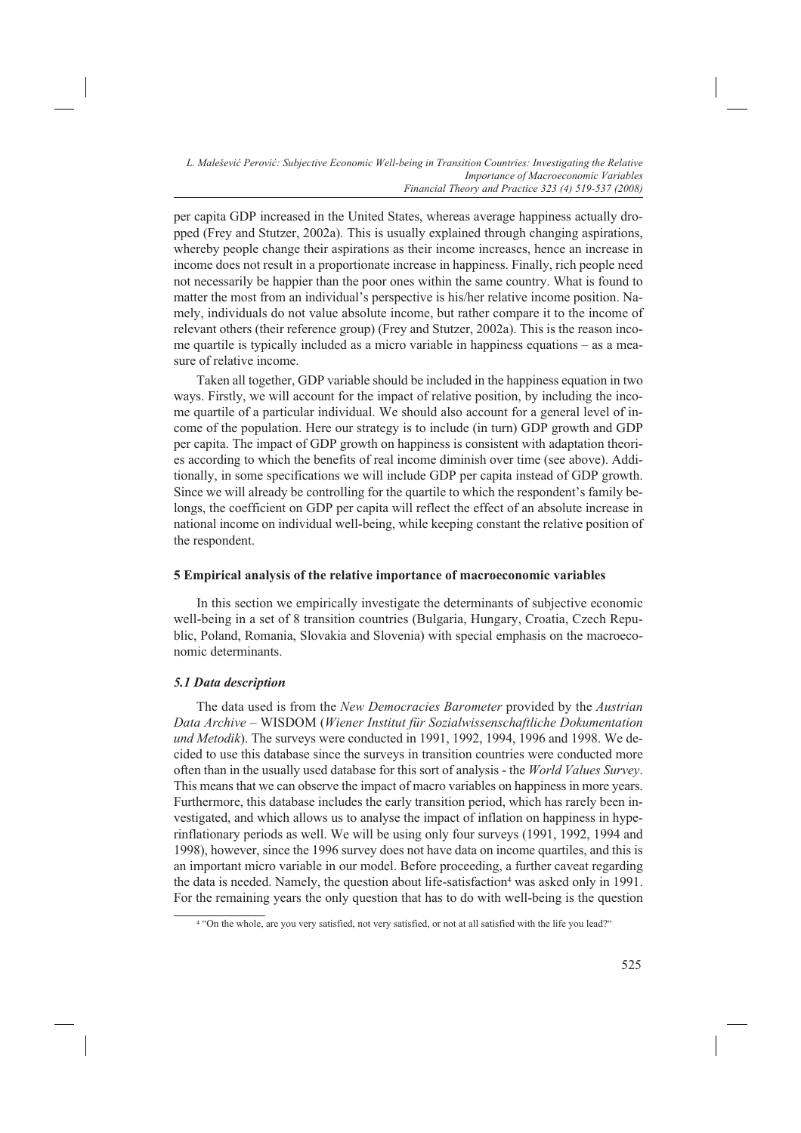per capita GDP increased in the United States, whereas average happiness actually dropped (Frey and Stutzer, 2002a). This is usually explained through changing aspirations, whereby people change their aspirations as their income increases, hence an increase in income does not result in a proportionate increase in happiness. Finally, rich people need not necessarily be happier than the poor ones within the same country. What is found to matter the most from an individual's perspective is his/her relative income position. Namely, individuals do not value absolute income, but rather compare it to the income of relevant others (their reference group) (Frey and Stutzer, 2002a). This is the reason income quartile is typically included as a micro variable in happiness equations – as a measure of relative income.

Taken all together, GDP variable should be included in the happiness equation in two ways. Firstly, we will account for the impact of relative position, by including the income quartile of a particular individual. We should also account for a general level of income of the population. Here our strategy is to include (in turn) GDP growth and GDP per capita. The impact of GDP growth on happiness is consistent with adaptation theories according to which the benefits of real income diminish over time (see above). Additionally, in some specifications we will include GDP per capita instead of GDP growth. Since we will already be controlling for the quartile to which the respondent's family belongs, the coefficient on GDP per capita will reflect the effect of an absolute increase in national income on individual well-being, while keeping constant the relative position of the respondent.

#### **5 Empirical analysis of the relative importance of macroeconomic variables**

In this section we empirically investigate the determinants of subjective economic well-being in a set of 8 transition countries (Bulgaria, Hungary, Croatia, Czech Republic, Poland, Romania, Slovakia and Slovenia) with special emphasis on the macroeconomic determinants.

## *5.1 Data description*

The data used is from the *New Democracies Barometer* provided by the *Austrian Data Archive* – WISDOM (*Wiener Institut für Sozialwissenschaftliche Dokumentation und Metodik*). The surveys were conducted in 1991, 1992, 1994, 1996 and 1998. We decided to use this database since the surveys in transition countries were conducted more often than in the usually used database for this sort of analysis - the *World Values Survey*. This means that we can observe the impact of macro variables on happiness in more years. Furthermore, this database includes the early transition period, which has rarely been investigated, and which allows us to analyse the impact of inflation on happiness in hyperinflationary periods as well. We will be using only four surveys (1991, 1992, 1994 and 1998), however, since the 1996 survey does not have data on income quartiles, and this is an important micro variable in our model. Before proceeding, a further caveat regarding the data is needed. Namely, the question about life-satisfaction<sup>4</sup> was asked only in 1991. For the remaining years the only question that has to do with well-being is the question

<sup>4 &</sup>quot;On the whole, are you very satisfied, not very satisfied, or not at all satisfied with the life you lead?"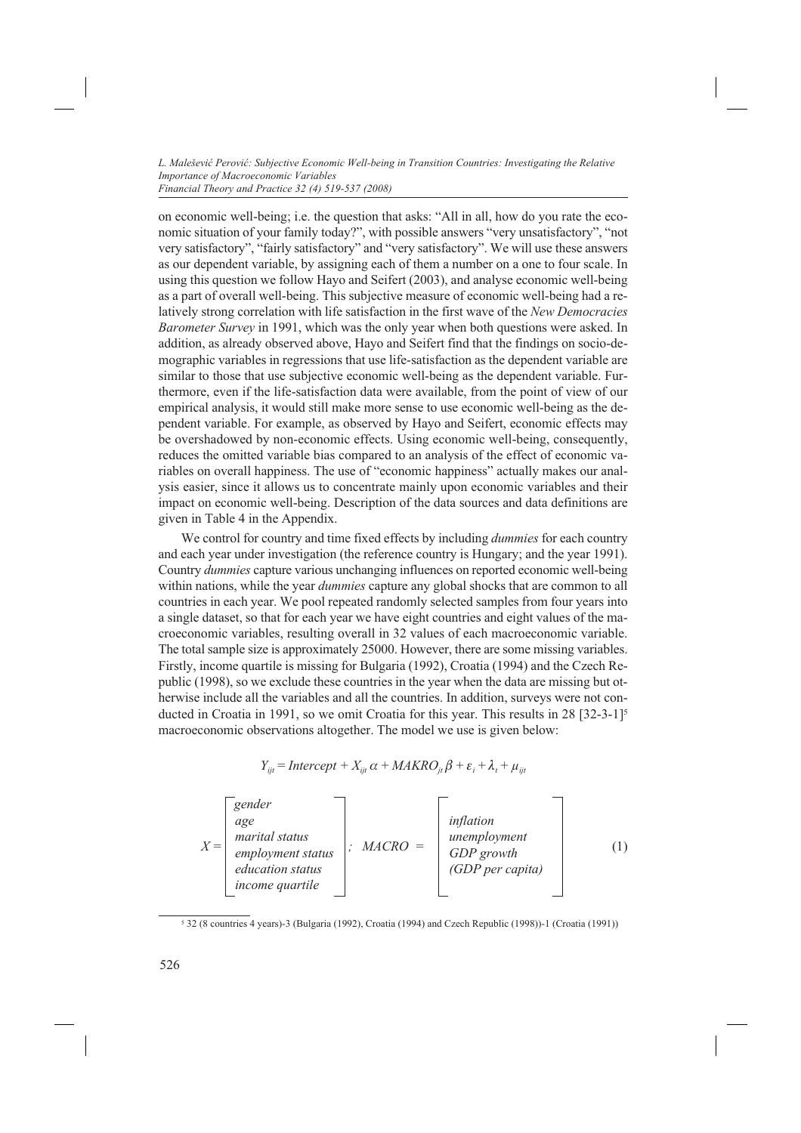on economic well-being; i.e. the question that asks: "All in all, how do you rate the economic situation of your family today?", with possible answers "very unsatisfactory", "not very satisfactory", "fairly satisfactory" and "very satisfactory". We will use these answers as our dependent variable, by assigning each of them a number on a one to four scale. In using this question we follow Hayo and Seifert (2003), and analyse economic well-being as a part of overall well-being. This subjective measure of economic well-being had a relatively strong correlation with life satisfaction in the first wave of the *New Democracies Barometer Survey* in 1991, which was the only year when both questions were asked. In addition, as already observed above, Hayo and Seifert find that the findings on socio-demographic variables in regressions that use life-satisfaction as the dependent variable are similar to those that use subjective economic well-being as the dependent variable. Furthermore, even if the life-satisfaction data were available, from the point of view of our empirical analysis, it would still make more sense to use economic well-being as the dependent variable. For example, as observed by Hayo and Seifert, economic effects may be overshadowed by non-economic effects. Using economic well-being, consequently, reduces the omitted variable bias compared to an analysis of the effect of economic variables on overall happiness. The use of "economic happiness" actually makes our analysis easier, since it allows us to concentrate mainly upon economic variables and their impact on economic well-being. Description of the data sources and data definitions are given in Table 4 in the Appendix.

We control for country and time fixed effects by including *dummies* for each country and each year under investigation (the reference country is Hungary; and the year 1991). Country *dummies* capture various unchanging influences on reported economic well-being within nations, while the year *dummies* capture any global shocks that are common to all countries in each year. We pool repeated randomly selected samples from four years into a single dataset, so that for each year we have eight countries and eight values of the macroeconomic variables, resulting overall in 32 values of each macroeconomic variable. The total sample size is approximately 25000. However, there are some missing variables. Firstly, income quartile is missing for Bulgaria (1992), Croatia (1994) and the Czech Republic (1998), so we exclude these countries in the year when the data are missing but otherwise include all the variables and all the countries. In addition, surveys were not conducted in Croatia in 1991, so we omit Croatia for this year. This results in 28 [32-3-1]5 macroeconomic observations altogether. The model we use is given below:

$$
Y_{ijt} = \text{Intercept} + X_{ijt} \alpha + \text{MAKRO}_{jt} \beta + \varepsilon_i + \lambda_t + \mu_{ijt}
$$

| $X =$ | gender<br>age<br>marital status<br>employment status<br>education status<br>income quartile | $MACRO =$ | inflation<br>unemployment<br>GDP growth<br>(GDP per capita) | (1) |
|-------|---------------------------------------------------------------------------------------------|-----------|-------------------------------------------------------------|-----|
|-------|---------------------------------------------------------------------------------------------|-----------|-------------------------------------------------------------|-----|

<sup>5 32 (8</sup> countries 4 years)-3 (Bulgaria (1992), Croatia (1994) and Czech Republic (1998))-1 (Croatia (1991))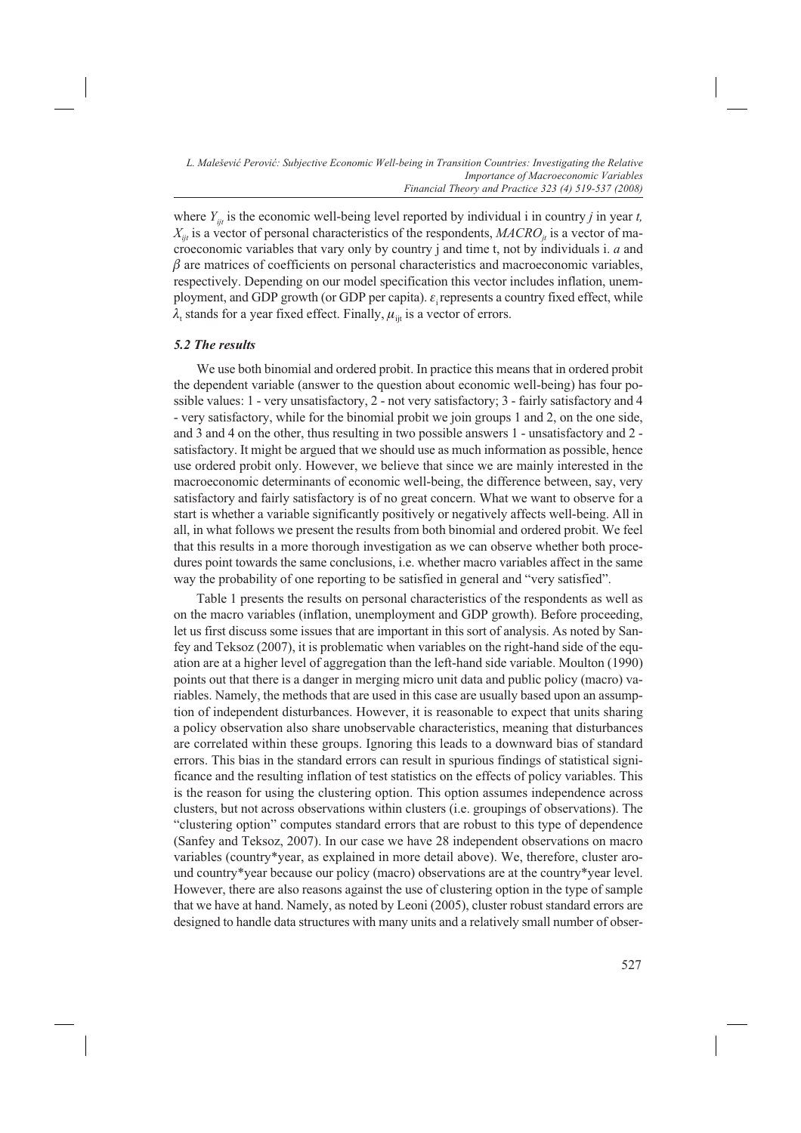where  $Y_{ijt}$  is the economic well-being level reported by individual i in country *j* in year *t*,  $X_{ijt}$  is a vector of personal characteristics of the respondents,  $MACRO_{it}$  is a vector of macroeconomic variables that vary only by country j and time t, not by individuals i. *a* and  $\beta$  are matrices of coefficients on personal characteristics and macroeconomic variables, respectively. Depending on our model specification this vector includes inflation, unemployment, and GDP growth (or GDP per capita).  $\varepsilon$ , represents a country fixed effect, while  $\lambda_t$  stands for a year fixed effect. Finally,  $\mu_{ij}$  is a vector of errors.

# *5.2 The results*

We use both binomial and ordered probit. In practice this means that in ordered probit the dependent variable (answer to the question about economic well-being) has four possible values: 1 - very unsatisfactory, 2 - not very satisfactory; 3 - fairly satisfactory and 4 - very satisfactory, while for the binomial probit we join groups 1 and 2, on the one side, and 3 and 4 on the other, thus resulting in two possible answers 1 - unsatisfactory and 2 satisfactory. It might be argued that we should use as much information as possible, hence use ordered probit only. However, we believe that since we are mainly interested in the macroeconomic determinants of economic well-being, the difference between, say, very satisfactory and fairly satisfactory is of no great concern. What we want to observe for a start is whether a variable significantly positively or negatively affects well-being. All in all, in what follows we present the results from both binomial and ordered probit. We feel that this results in a more thorough investigation as we can observe whether both procedures point towards the same conclusions, i.e. whether macro variables affect in the same way the probability of one reporting to be satisfied in general and "very satisfied".

Table 1 presents the results on personal characteristics of the respondents as well as on the macro variables (inflation, unemployment and GDP growth). Before proceeding, let us first discuss some issues that are important in this sort of analysis. As noted by Sanfey and Teksoz (2007), it is problematic when variables on the right-hand side of the equation are at a higher level of aggregation than the left-hand side variable. Moulton (1990) points out that there is a danger in merging micro unit data and public policy (macro) variables. Namely, the methods that are used in this case are usually based upon an assumption of independent disturbances. However, it is reasonable to expect that units sharing a policy observation also share unobservable characteristics, meaning that disturbances are correlated within these groups. Ignoring this leads to a downward bias of standard errors. This bias in the standard errors can result in spurious findings of statistical significance and the resulting inflation of test statistics on the effects of policy variables. This is the reason for using the clustering option. This option assumes independence across clusters, but not across observations within clusters (i.e. groupings of observations). The "clustering option" computes standard errors that are robust to this type of dependence (Sanfey and Teksoz, 2007). In our case we have 28 independent observations on macro variables (country\*year, as explained in more detail above). We, therefore, cluster around country\*year because our policy (macro) observations are at the country\*year level. However, there are also reasons against the use of clustering option in the type of sample that we have at hand. Namely, as noted by Leoni (2005), cluster robust standard errors are designed to handle data structures with many units and a relatively small number of obser-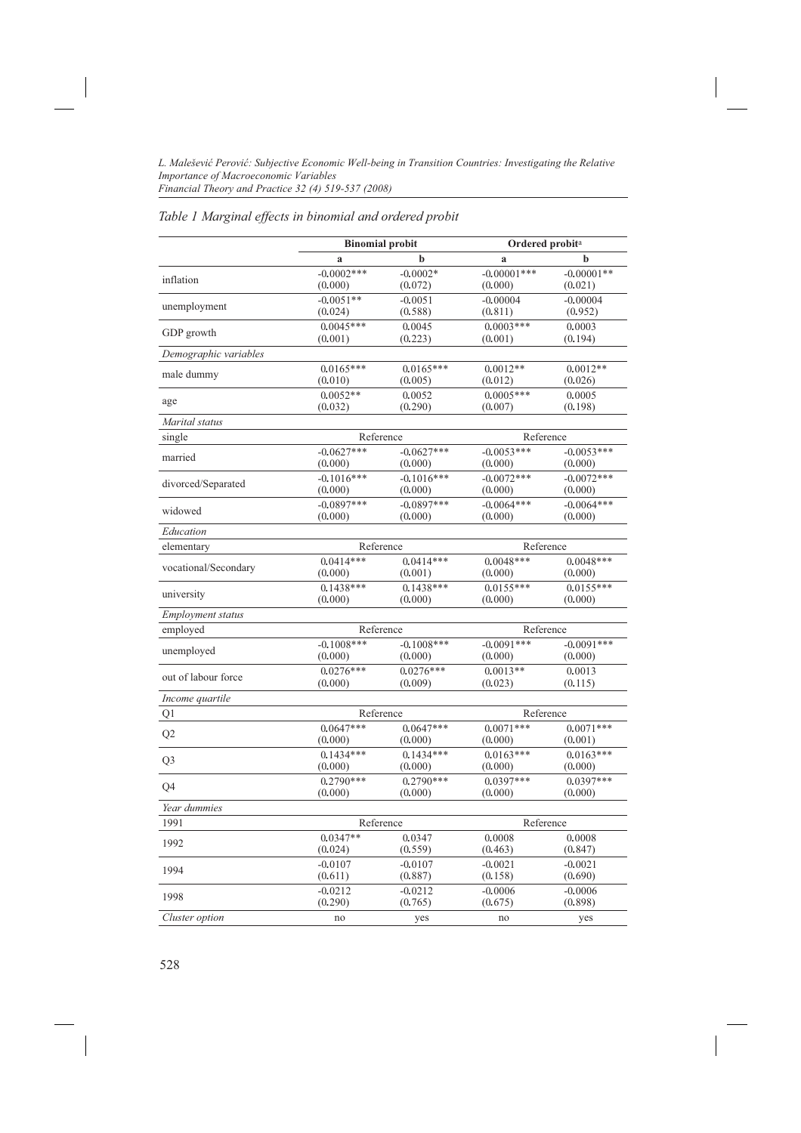# *Table 1 Marginal effects in binomial and ordered probit*

|                                    | <b>Binomial probit</b> |              | Ordered probit <sup>a</sup> |              |  |
|------------------------------------|------------------------|--------------|-----------------------------|--------------|--|
|                                    | a                      | b            | a                           | b            |  |
| inflation                          | $-0.0002***$           | $-0.0002*$   | $-0.00001$ ***              | $-0.00001**$ |  |
|                                    | (0.000)                | (0.072)      | (0.000)                     | (0.021)      |  |
| unemployment                       | $-0.0051**$            | $-0.0051$    | $-0.00004$                  | $-0.00004$   |  |
|                                    | (0.024)                | (0.588)      | (0.811)                     | (0.952)      |  |
| GDP growth                         | $0.0045***$            | 0.0045       | $0.0003***$                 | 0.0003       |  |
|                                    | (0.001)                | (0.223)      | (0.001)                     | (0.194)      |  |
| Demographic variables              |                        |              |                             |              |  |
| male dummy                         | $0.0165***$            | $0.0165***$  | $0.0012**$                  | $0.0012**$   |  |
|                                    | (0.010)                | (0.005)      | (0.012)                     | (0.026)      |  |
| age                                | $0.0052**$             | 0.0052       | $0.0005***$                 | 0.0005       |  |
|                                    | (0.032)                | (0.290)      | (0.007)                     | (0.198)      |  |
| Marital status                     |                        |              |                             |              |  |
| single                             | Reference              |              | Reference                   |              |  |
| married                            | $-0.0627***$           | $-0.0627***$ | $-0.0053***$                | $-0.0053***$ |  |
|                                    | (0.000)                | (0.000)      | (0.000)                     | (0.000)      |  |
| divorced/Separated                 | $-0.1016***$           | $-0.1016***$ | $-0.0072***$                | $-0.0072***$ |  |
|                                    | (0.000)                | (0.000)      | (0.000)                     | (0.000)      |  |
| widowed                            | $-0.0897***$           | $-0.0897***$ | $-0.0064***$                | $-0.0064***$ |  |
|                                    | (0.000)                | (0.000)      | (0.000)                     | (0.000)      |  |
| Education                          |                        |              |                             |              |  |
| elementary                         | Reference              |              | Reference                   |              |  |
| vocational/Secondary               | $0.0414***$            | $0.0414***$  | $0.0048***$                 | $0.0048***$  |  |
|                                    | (0.000)                | (0.001)      | (0.000)                     | (0.000)      |  |
| university                         | $0.1438***$            | $0.1438***$  | $0.0155***$                 | $0.0155***$  |  |
|                                    | (0.000)                | (0.000)      | (0.000)                     | (0.000)      |  |
| <b>Employment status</b>           |                        |              |                             |              |  |
| employed<br>Reference<br>Reference |                        |              |                             |              |  |
| unemployed                         | $-0.1008***$           | $-0.1008***$ | $-0.0091***$                | $-0.0091***$ |  |
|                                    | (0.000)                | (0.000)      | (0.000)                     | (0.000)      |  |
| out of labour force                | $0.0276***$            | $0.0276***$  | $0.0013**$                  | 0.0013       |  |
|                                    | (0.000)                | (0.009)      | (0.023)                     | (0.115)      |  |
| Income quartile                    |                        |              |                             |              |  |
| Q <sub>1</sub>                     | Reference              |              | Reference                   |              |  |
| Q2                                 | $0.0647***$            | $0.0647***$  | $0.0071***$                 | $0.0071***$  |  |
|                                    | (0.000)                | (0.000)      | (0.000)                     | (0.001)      |  |
| Q <sub>3</sub>                     | $0.1434***$            | $0.1434***$  | $0.0163***$                 | $0.0163***$  |  |
|                                    | (0.000)                | (0.000)      | (0.000)                     | (0.000)      |  |
| Q4                                 | $0.2790***$            | $0.2790***$  | $0.0397***$                 | $0.0397***$  |  |
|                                    | (0.000)                | (0.000)      | (0.000)                     | (0.000)      |  |
| Year dummies                       |                        |              |                             |              |  |
| 1991                               | Reference<br>Reference |              |                             |              |  |
| 1992                               | $0.0347**$             | 0.0347       | 0.0008                      | 0.0008       |  |
|                                    | (0.024)                | (0.559)      | (0.463)                     | (0.847)      |  |
| 1994                               | $-0.0107$              | $-0.0107$    | $-0.0021$                   | $-0.0021$    |  |
|                                    | (0.611)                | (0.887)      | (0.158)                     | (0.690)      |  |
| 1998                               | $-0.0212$              | $-0.0212$    | $-0.0006$                   | $-0.0006$    |  |
|                                    | (0.290)                | (0.765)      | (0.675)                     | (0.898)      |  |
| Cluster option                     | no                     | yes          | no                          | yes          |  |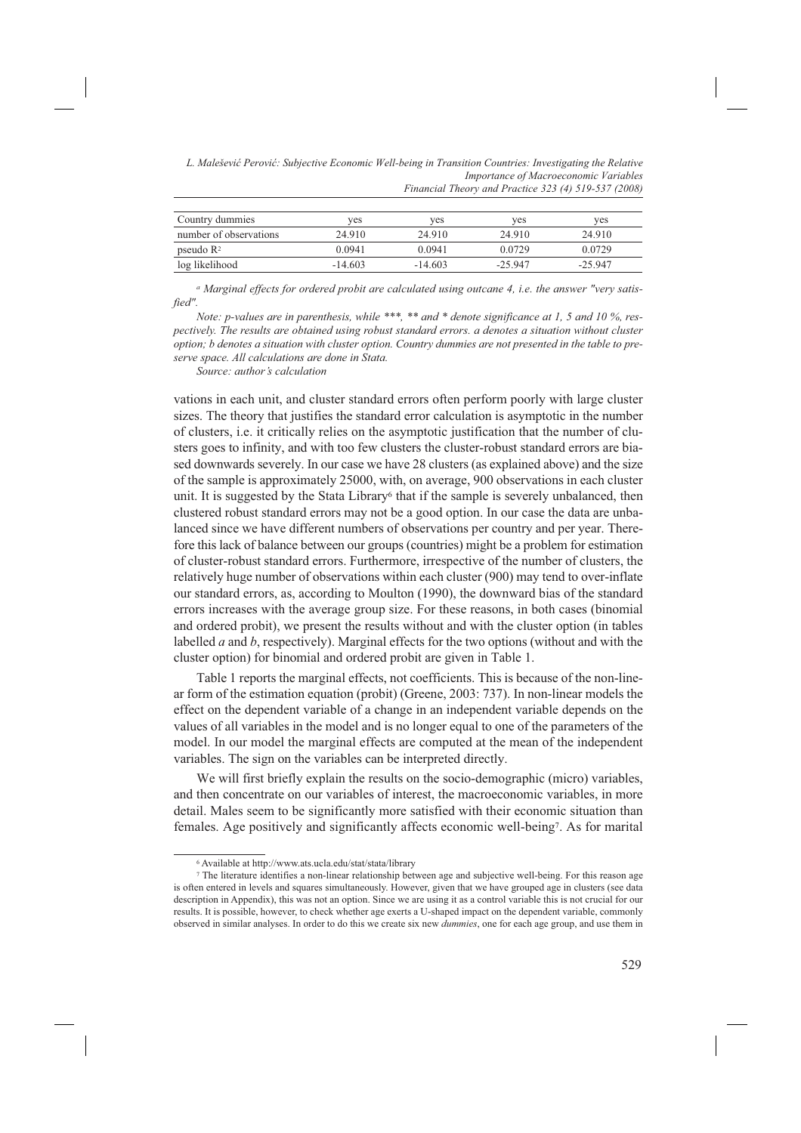| L. Malešević Perović: Subjective Economic Well-being in Transition Countries: Investigating the Relative |
|----------------------------------------------------------------------------------------------------------|
| Importance of Macroeconomic Variables                                                                    |
| Financial Theory and Practice 323 (4) 519-537 (2008)                                                     |

| Country dummies        | ves       | ves       | ves      | yes      |
|------------------------|-----------|-----------|----------|----------|
| number of observations | 24 910    | 24 910    | 24.910   | 24 910   |
| pseudo $\mathbb{R}^2$  | 0 0 9 4 1 | 0.0941    | 0.0729   | 0.0729   |
| log likelihood         | $-14.603$ | $-14.603$ | $-25947$ | $-25947$ |

*a Marginal effects for ordered probit are calculated using outcane 4, i.e. the answer "very satisfied".*

*Note: p-values are in parenthesis, while \*\*\*, \*\* and \* denote significance at 1, 5 and 10 %, respectively. The results are obtained using robust standard errors. a denotes a situation without cluster option; b denotes a situation with cluster option. Country dummies are not presented in the table to preserve space. All calculations are done in Stata.* 

*Source: author's calculation*

vations in each unit, and cluster standard errors often perform poorly with large cluster sizes. The theory that justifies the standard error calculation is asymptotic in the number of clusters, i.e. it critically relies on the asymptotic justification that the number of clusters goes to infinity, and with too few clusters the cluster-robust standard errors are biased downwards severely. In our case we have 28 clusters (as explained above) and the size of the sample is approximately 25000, with, on average, 900 observations in each cluster unit. It is suggested by the Stata Library<sup>6</sup> that if the sample is severely unbalanced, then clustered robust standard errors may not be a good option. In our case the data are unbalanced since we have different numbers of observations per country and per year. Therefore this lack of balance between our groups (countries) might be a problem for estimation of cluster-robust standard errors. Furthermore, irrespective of the number of clusters, the relatively huge number of observations within each cluster (900) may tend to over-inflate our standard errors, as, according to Moulton (1990), the downward bias of the standard errors increases with the average group size. For these reasons, in both cases (binomial and ordered probit), we present the results without and with the cluster option (in tables labelled *a* and *b*, respectively). Marginal effects for the two options (without and with the cluster option) for binomial and ordered probit are given in Table 1.

Table 1 reports the marginal effects, not coefficients. This is because of the non-linear form of the estimation equation (probit) (Greene, 2003: 737). In non-linear models the effect on the dependent variable of a change in an independent variable depends on the values of all variables in the model and is no longer equal to one of the parameters of the model. In our model the marginal effects are computed at the mean of the independent variables. The sign on the variables can be interpreted directly.

We will first briefly explain the results on the socio-demographic (micro) variables, and then concentrate on our variables of interest, the macroeconomic variables, in more detail. Males seem to be significantly more satisfied with their economic situation than females. Age positively and significantly affects economic well-being7. As for marital

<sup>6</sup> Available at http://www.ats.ucla.edu/stat/stata/library

<sup>7</sup> The literature identifies a non-linear relationship between age and subjective well-being. For this reason age is often entered in levels and squares simultaneously. However, given that we have grouped age in clusters (see data description in Appendix), this was not an option. Since we are using it as a control variable this is not crucial for our results. It is possible, however, to check whether age exerts a U-shaped impact on the dependent variable, commonly observed in similar analyses. In order to do this we create six new *dummies*, one for each age group, and use them in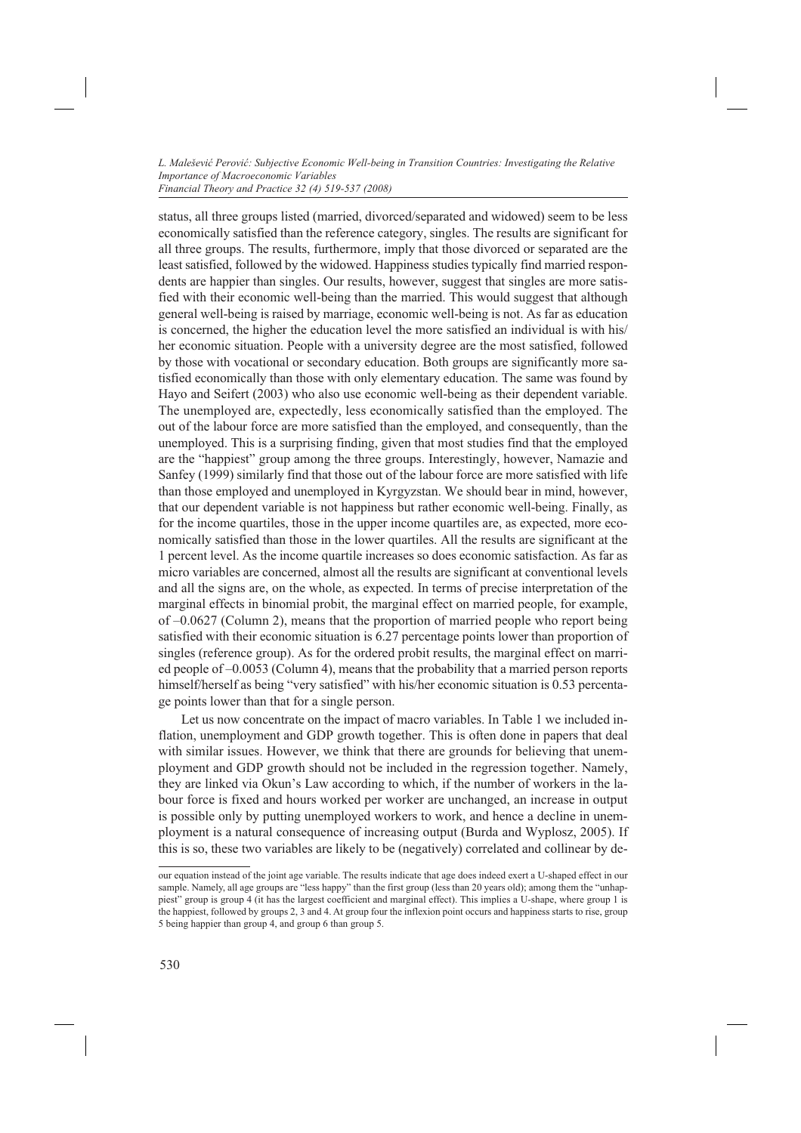status, all three groups listed (married, divorced/separated and widowed) seem to be less economically satisfied than the reference category, singles. The results are significant for all three groups. The results, furthermore, imply that those divorced or separated are the least satisfied, followed by the widowed. Happiness studies typically find married respondents are happier than singles. Our results, however, suggest that singles are more satisfied with their economic well-being than the married. This would suggest that although general well-being is raised by marriage, economic well-being is not. As far as education is concerned, the higher the education level the more satisfied an individual is with his/ her economic situation. People with a university degree are the most satisfied, followed by those with vocational or secondary education. Both groups are significantly more satisfied economically than those with only elementary education. The same was found by Hayo and Seifert (2003) who also use economic well-being as their dependent variable. The unemployed are, expectedly, less economically satisfied than the employed. The out of the labour force are more satisfied than the employed, and consequently, than the unemployed. This is a surprising finding, given that most studies find that the employed are the "happiest" group among the three groups. Interestingly, however, Namazie and Sanfey (1999) similarly find that those out of the labour force are more satisfied with life than those employed and unemployed in Kyrgyzstan. We should bear in mind, however, that our dependent variable is not happiness but rather economic well-being. Finally, as for the income quartiles, those in the upper income quartiles are, as expected, more economically satisfied than those in the lower quartiles. All the results are significant at the 1 percent level. As the income quartile increases so does economic satisfaction. As far as micro variables are concerned, almost all the results are significant at conventional levels and all the signs are, on the whole, as expected. In terms of precise interpretation of the marginal effects in binomial probit, the marginal effect on married people, for example, of –0.0627 (Column 2), means that the proportion of married people who report being satisfied with their economic situation is 6.27 percentage points lower than proportion of singles (reference group). As for the ordered probit results, the marginal effect on married people of –0.0053 (Column 4), means that the probability that a married person reports himself/herself as being "very satisfied" with his/her economic situation is 0.53 percentage points lower than that for a single person.

Let us now concentrate on the impact of macro variables. In Table 1 we included inflation, unemployment and GDP growth together. This is often done in papers that deal with similar issues. However, we think that there are grounds for believing that unemployment and GDP growth should not be included in the regression together. Namely, they are linked via Okun's Law according to which, if the number of workers in the labour force is fixed and hours worked per worker are unchanged, an increase in output is possible only by putting unemployed workers to work, and hence a decline in unemployment is a natural consequence of increasing output (Burda and Wyplosz, 2005). If this is so, these two variables are likely to be (negatively) correlated and collinear by de-

our equation instead of the joint age variable. The results indicate that age does indeed exert a U-shaped effect in our sample. Namely, all age groups are "less happy" than the first group (less than 20 years old); among them the "unhappiest" group is group 4 (it has the largest coefficient and marginal effect). This implies a U-shape, where group 1 is the happiest, followed by groups 2, 3 and 4. At group four the inflexion point occurs and happiness starts to rise, group 5 being happier than group 4, and group 6 than group 5.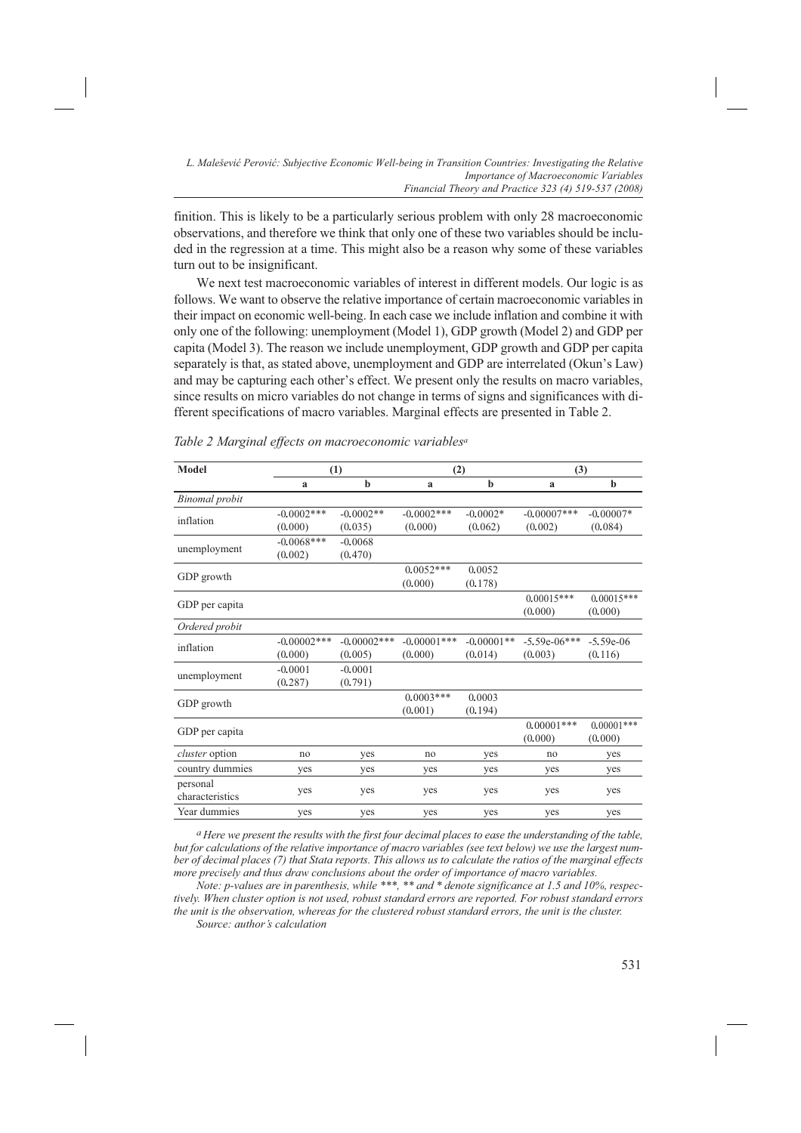finition. This is likely to be a particularly serious problem with only 28 macroeconomic observations, and therefore we think that only one of these two variables should be included in the regression at a time. This might also be a reason why some of these variables turn out to be insignificant.

We next test macroeconomic variables of interest in different models. Our logic is as follows. We want to observe the relative importance of certain macroeconomic variables in their impact on economic well-being. In each case we include inflation and combine it with only one of the following: unemployment (Model 1), GDP growth (Model 2) and GDP per capita (Model 3). The reason we include unemployment, GDP growth and GDP per capita separately is that, as stated above, unemployment and GDP are interrelated (Okun's Law) and may be capturing each other's effect. We present only the results on macro variables, since results on micro variables do not change in terms of signs and significances with different specifications of macro variables. Marginal effects are presented in Table 2.

| Model                       |                | (1)            | (2)            |              | (3)            |              |
|-----------------------------|----------------|----------------|----------------|--------------|----------------|--------------|
|                             | $\mathbf{a}$   | $\mathbf b$    | a              | $\mathbf b$  | a              | b            |
| <b>Binomal</b> probit       |                |                |                |              |                |              |
| inflation                   | $-0.0002$ ***  | $-0.0002**$    | $-0.0002$ ***  | $-0.0002*$   | $-0.00007$ *** | $-0.00007*$  |
|                             | (0.000)        | (0.035)        | (0.000)        | (0.062)      | (0.002)        | (0.084)      |
|                             | $-0.0068***$   | $-0.0068$      |                |              |                |              |
| unemployment                | (0.002)        | (0.470)        |                |              |                |              |
|                             |                |                | $0.0052***$    | 0.0052       |                |              |
| GDP growth                  |                |                | (0.000)        | (0.178)      |                |              |
|                             |                |                |                |              | $0.00015***$   | $0.00015***$ |
| GDP per capita              |                |                |                |              | (0.000)        | (0.000)      |
| Ordered probit              |                |                |                |              |                |              |
| inflation                   | $-0.00002$ *** | $-0.00002$ *** | $-0.00001$ *** | $-0.00001**$ | $-5.59e-06***$ | $-5.59e-06$  |
|                             | (0.000)        | (0.005)        | (0.000)        | (0.014)      | (0.003)        | (0.116)      |
|                             | $-0.0001$      | $-0.0001$      |                |              |                |              |
| unemployment                | (0.287)        | (0.791)        |                |              |                |              |
|                             |                |                | $0.0003***$    | 0.0003       |                |              |
| GDP growth                  |                |                | (0.001)        | (0.194)      |                |              |
| GDP per capita              |                |                |                |              | $0.00001$ ***  | $0.00001***$ |
|                             |                |                |                |              | (0.000)        | (0.000)      |
| <i>cluster</i> option       | no             | yes            | no             | yes          | no             | yes          |
| country dummies             | yes            | yes            | yes            | yes          | yes            | yes          |
| personal<br>characteristics | yes            | yes            | yes            | yes          | yes            | yes          |
| Year dummies                | yes            | yes            | yes            | yes          | yes            | yes          |

*Table 2 Marginal effects on macroeconomic variablesa*

*a Here we present the results with the first four decimal places to ease the understanding of the table, but for calculations of the relative importance of macro variables (see text below) we use the largest number of decimal places (7) that Stata reports. This allows us to calculate the ratios of the marginal effects more precisely and thus draw conclusions about the order of importance of macro variables.* 

*Note: p-values are in parenthesis, while \*\*\*, \*\* and \* denote significance at 1.5 and 10%, respectively. When cluster option is not used, robust standard errors are reported. For robust standard errors the unit is the observation, whereas for the clustered robust standard errors, the unit is the cluster. Source: author's calculation*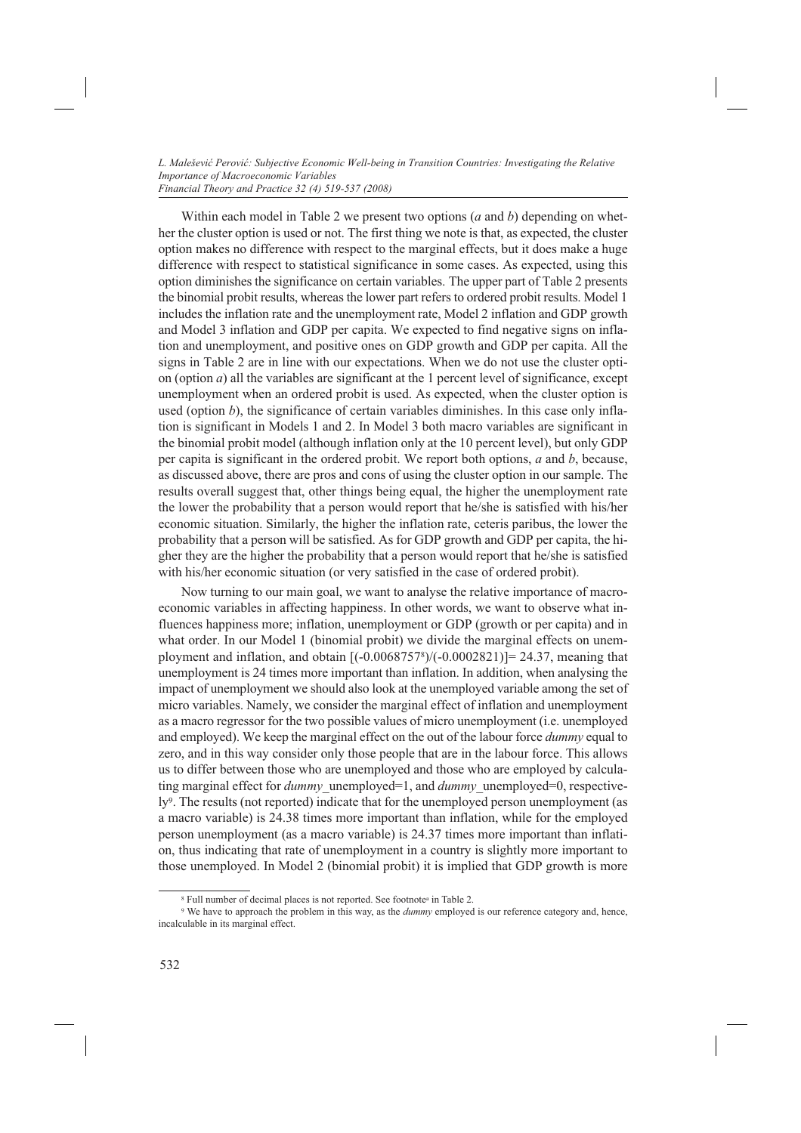Within each model in Table 2 we present two options (*a* and *b*) depending on whether the cluster option is used or not. The first thing we note is that, as expected, the cluster option makes no difference with respect to the marginal effects, but it does make a huge difference with respect to statistical significance in some cases. As expected, using this option diminishes the significance on certain variables. The upper part of Table 2 presents the binomial probit results, whereas the lower part refers to ordered probit results. Model 1 includes the inflation rate and the unemployment rate, Model 2 inflation and GDP growth and Model 3 inflation and GDP per capita. We expected to find negative signs on inflation and unemployment, and positive ones on GDP growth and GDP per capita. All the signs in Table 2 are in line with our expectations. When we do not use the cluster option (option *a*) all the variables are significant at the 1 percent level of significance, except unemployment when an ordered probit is used. As expected, when the cluster option is used (option *b*), the significance of certain variables diminishes. In this case only inflation is significant in Models 1 and 2. In Model 3 both macro variables are significant in the binomial probit model (although inflation only at the 10 percent level), but only GDP per capita is significant in the ordered probit. We report both options, *a* and *b*, because, as discussed above, there are pros and cons of using the cluster option in our sample. The results overall suggest that, other things being equal, the higher the unemployment rate the lower the probability that a person would report that he/she is satisfied with his/her economic situation. Similarly, the higher the inflation rate, ceteris paribus, the lower the probability that a person will be satisfied. As for GDP growth and GDP per capita, the higher they are the higher the probability that a person would report that he/she is satisfied with his/her economic situation (or very satisfied in the case of ordered probit).

Now turning to our main goal, we want to analyse the relative importance of macroeconomic variables in affecting happiness. In other words, we want to observe what influences happiness more; inflation, unemployment or GDP (growth or per capita) and in what order. In our Model 1 (binomial probit) we divide the marginal effects on unemployment and inflation, and obtain  $[(-0.00687578)/(-0.0002821)]= 24.37$ , meaning that unemployment is 24 times more important than inflation. In addition, when analysing the impact of unemployment we should also look at the unemployed variable among the set of micro variables. Namely, we consider the marginal effect of inflation and unemployment as a macro regressor for the two possible values of micro unemployment (i.e. unemployed and employed). We keep the marginal effect on the out of the labour force *dummy* equal to zero, and in this way consider only those people that are in the labour force. This allows us to differ between those who are unemployed and those who are employed by calculating marginal effect for *dummy*\_unemployed=1, and *dummy*\_unemployed=0, respectively<sup>9</sup>. The results (not reported) indicate that for the unemployed person unemployment (as a macro variable) is 24.38 times more important than inflation, while for the employed person unemployment (as a macro variable) is 24.37 times more important than inflation, thus indicating that rate of unemployment in a country is slightly more important to those unemployed. In Model 2 (binomial probit) it is implied that GDP growth is more

<sup>8</sup> Full number of decimal places is not reported. See footnotea in Table 2.

<sup>9</sup> We have to approach the problem in this way, as the *dummy* employed is our reference category and, hence, incalculable in its marginal effect.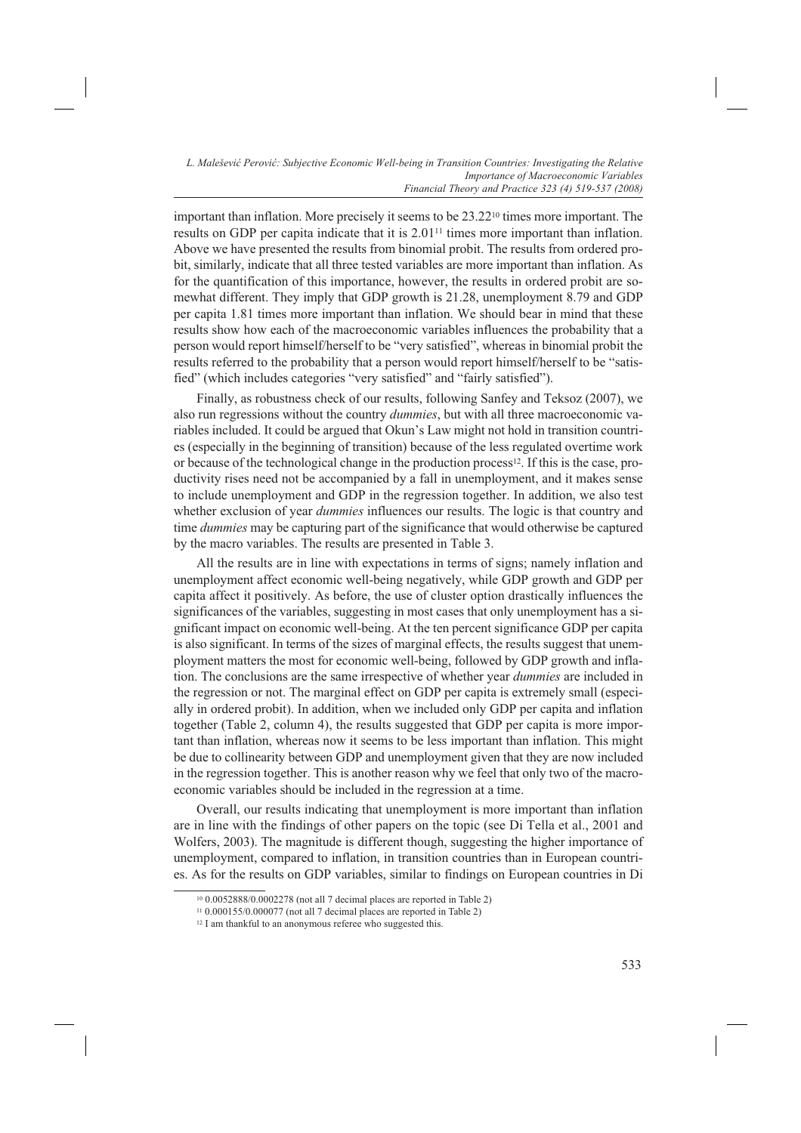important than inflation. More precisely it seems to be 23.2210 times more important. The results on GDP per capita indicate that it is 2.0111 times more important than inflation. Above we have presented the results from binomial probit. The results from ordered probit, similarly, indicate that all three tested variables are more important than inflation. As for the quantification of this importance, however, the results in ordered probit are somewhat different. They imply that GDP growth is 21.28, unemployment 8.79 and GDP per capita 1.81 times more important than inflation. We should bear in mind that these results show how each of the macroeconomic variables influences the probability that a person would report himself/herself to be "very satisfied", whereas in binomial probit the results referred to the probability that a person would report himself/herself to be "satisfied" (which includes categories "very satisfied" and "fairly satisfied").

Finally, as robustness check of our results, following Sanfey and Teksoz (2007), we also run regressions without the country *dummies*, but with all three macroeconomic variables included. It could be argued that Okun's Law might not hold in transition countries (especially in the beginning of transition) because of the less regulated overtime work or because of the technological change in the production process<sup>12</sup>. If this is the case, productivity rises need not be accompanied by a fall in unemployment, and it makes sense to include unemployment and GDP in the regression together. In addition, we also test whether exclusion of year *dummies* influences our results. The logic is that country and time *dummies* may be capturing part of the significance that would otherwise be captured by the macro variables. The results are presented in Table 3.

All the results are in line with expectations in terms of signs; namely inflation and unemployment affect economic well-being negatively, while GDP growth and GDP per capita affect it positively. As before, the use of cluster option drastically influences the significances of the variables, suggesting in most cases that only unemployment has a significant impact on economic well-being. At the ten percent significance GDP per capita is also significant. In terms of the sizes of marginal effects, the results suggest that unemployment matters the most for economic well-being, followed by GDP growth and inflation. The conclusions are the same irrespective of whether year *dummies* are included in the regression or not. The marginal effect on GDP per capita is extremely small (especially in ordered probit). In addition, when we included only GDP per capita and inflation together (Table 2, column 4), the results suggested that GDP per capita is more important than inflation, whereas now it seems to be less important than inflation. This might be due to collinearity between GDP and unemployment given that they are now included in the regression together. This is another reason why we feel that only two of the macroeconomic variables should be included in the regression at a time.

Overall, our results indicating that unemployment is more important than inflation are in line with the findings of other papers on the topic (see Di Tella et al., 2001 and Wolfers, 2003). The magnitude is different though, suggesting the higher importance of unemployment, compared to inflation, in transition countries than in European countries. As for the results on GDP variables, similar to findings on European countries in Di

<sup>10 0.0052888/0.0002278 (</sup>not all 7 decimal places are reported in Table 2)

<sup>&</sup>lt;sup>11</sup> 0.000155/0.000077 (not all 7 decimal places are reported in Table 2)

<sup>&</sup>lt;sup>12</sup> I am thankful to an anonymous referee who suggested this.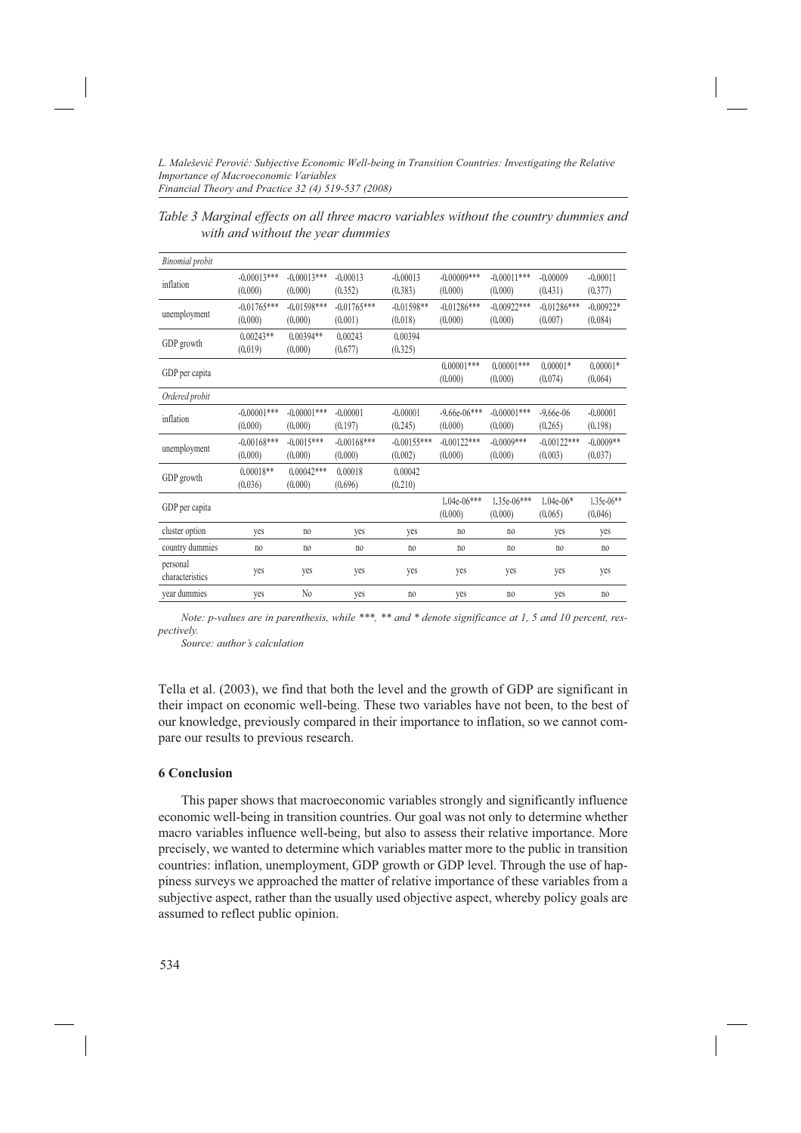*Table 3 Marginal effects on all three macro variables without the country dummies and with and without the year dummies*

| <b>Binomial</b> probit      |                          |                           |                          |                          |                           |                          |                          |                         |
|-----------------------------|--------------------------|---------------------------|--------------------------|--------------------------|---------------------------|--------------------------|--------------------------|-------------------------|
| inflation                   | $-0.00013***$<br>(0.000) | $-0.00013***$<br>(0.000)  | $-0.00013$<br>(0.352)    | $-0.00013$<br>(0.383)    | $-0.00009***$<br>(0.000)  | $-0.00011***$<br>(0.000) | $-0.00009$<br>(0.431)    | $-0.00011$<br>(0.377)   |
| unemployment                | $-0.01765***$<br>(0.000) | $-0.01598***$<br>(0.000)  | $-0.01765***$<br>(0.001) | $-0.01598**$<br>(0.018)  | $-0.01286***$<br>(0.000)  | $-0.00922***$<br>(0.000) | $-0.01286***$<br>(0.007) | $-0.00922*$<br>(0.084)  |
| GDP growth                  | $0.00243**$<br>(0.019)   | $0.00394**$<br>(0.000)    | 0.00243<br>(0.677)       | 0.00394<br>(0.325)       |                           |                          |                          |                         |
| GDP per capita              |                          |                           |                          |                          | $0.00001***$<br>(0.000)   | $0.00001***$<br>(0.000)  | $0.00001*$<br>(0.074)    | $0.00001*$<br>(0.064)   |
| Ordered probit              |                          |                           |                          |                          |                           |                          |                          |                         |
| inflation                   | $-0.00001***$<br>(0.000) | $-0.00001$ ***<br>(0.000) | $-0.00001$<br>(0.197)    | $-0.00001$<br>(0.245)    | $-9.66e-06***$<br>(0.000) | $-0.00001***$<br>(0.000) | $-9.66e-06$<br>(0.265)   | $-0.00001$<br>(0.198)   |
| unemployment                | $-0.00168***$<br>(0.000) | $-0.0015***$<br>(0.000)   | $-0.00168***$<br>(0.000) | $-0.00155***$<br>(0.002) | $-0.00122***$<br>(0.000)  | $-0.0009***$<br>(0.000)  | $-0.00122***$<br>(0.003) | $-0.0009**$<br>(0.037)  |
| GDP growth                  | $0.00018**$<br>(0.036)   | $0.00042***$<br>(0.000)   | 0.00018<br>(0.696)       | 0.00042<br>(0.210)       |                           |                          |                          |                         |
| GDP per capita              |                          |                           |                          |                          | $1.04e-06***$<br>(0.000)  | $1.35e-06***$<br>(0.000) | $1.04e-06*$<br>(0.065)   | $1.35e-06**$<br>(0.046) |
| cluster option              | yes                      | no                        | yes                      | yes                      | no                        | n <sub>0</sub>           | yes                      | yes                     |
| country dummies             | no.                      | no.                       | no                       | n <sub>0</sub>           | no.                       | n <sub>0</sub>           | n <sub>0</sub>           | no                      |
| personal<br>characteristics | yes                      | yes                       | yes                      | yes                      | yes                       | yes                      | yes                      | yes                     |
| year dummies                | yes                      | $\rm No$                  | yes                      | n <sub>0</sub>           | yes                       | no                       | yes                      | no                      |

*Note: p-values are in parenthesis, while \*\*\*, \*\* and \* denote significance at 1, 5 and 10 percent, respectively.* 

*Source: author's calculation*

Tella et al. (2003), we find that both the level and the growth of GDP are significant in their impact on economic well-being. These two variables have not been, to the best of our knowledge, previously compared in their importance to inflation, so we cannot compare our results to previous research.

## **6 Conclusion**

This paper shows that macroeconomic variables strongly and significantly influence economic well-being in transition countries. Our goal was not only to determine whether macro variables influence well-being, but also to assess their relative importance. More precisely, we wanted to determine which variables matter more to the public in transition countries: inflation, unemployment, GDP growth or GDP level. Through the use of happiness surveys we approached the matter of relative importance of these variables from a subjective aspect, rather than the usually used objective aspect, whereby policy goals are assumed to reflect public opinion.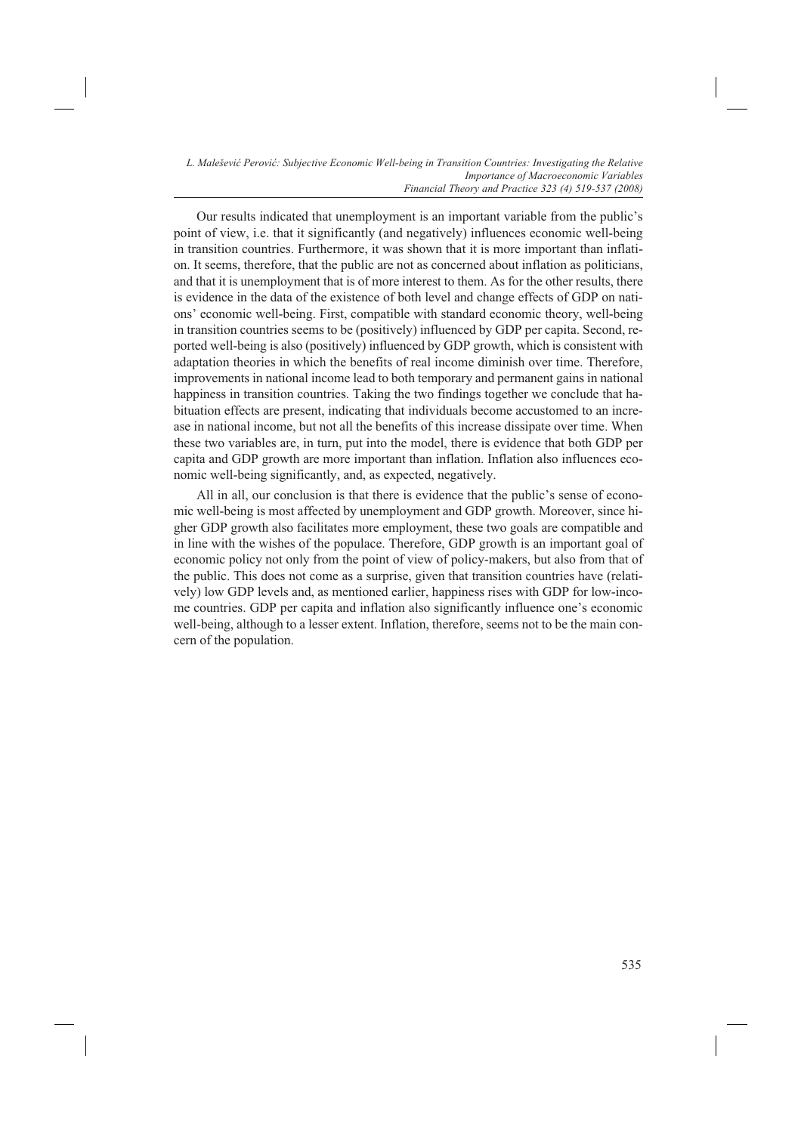Our results indicated that unemployment is an important variable from the public's point of view, i.e. that it significantly (and negatively) influences economic well-being in transition countries. Furthermore, it was shown that it is more important than inflation. It seems, therefore, that the public are not as concerned about inflation as politicians, and that it is unemployment that is of more interest to them. As for the other results, there is evidence in the data of the existence of both level and change effects of GDP on nations' economic well-being. First, compatible with standard economic theory, well-being in transition countries seems to be (positively) influenced by GDP per capita. Second, reported well-being is also (positively) influenced by GDP growth, which is consistent with adaptation theories in which the benefits of real income diminish over time. Therefore, improvements in national income lead to both temporary and permanent gains in national happiness in transition countries. Taking the two findings together we conclude that habituation effects are present, indicating that individuals become accustomed to an increase in national income, but not all the benefits of this increase dissipate over time. When these two variables are, in turn, put into the model, there is evidence that both GDP per capita and GDP growth are more important than inflation. Inflation also influences economic well-being significantly, and, as expected, negatively.

All in all, our conclusion is that there is evidence that the public's sense of economic well-being is most affected by unemployment and GDP growth. Moreover, since higher GDP growth also facilitates more employment, these two goals are compatible and in line with the wishes of the populace. Therefore, GDP growth is an important goal of economic policy not only from the point of view of policy-makers, but also from that of the public. This does not come as a surprise, given that transition countries have (relatively) low GDP levels and, as mentioned earlier, happiness rises with GDP for low-income countries. GDP per capita and inflation also significantly influence one's economic well-being, although to a lesser extent. Inflation, therefore, seems not to be the main concern of the population.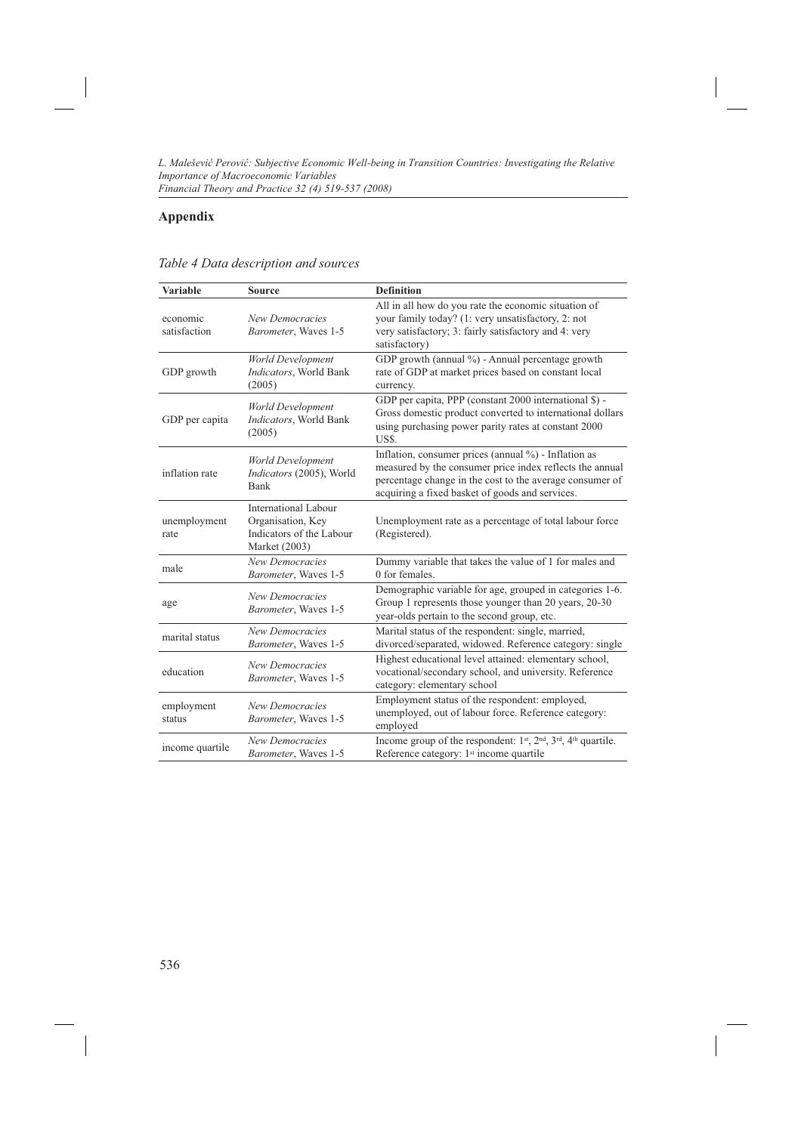# **Appendix**

| Table 4 Data description and sources |  |
|--------------------------------------|--|

| <b>Variable</b>          | <b>Source</b>                                                                          | <b>Definition</b>                                                                                                                                                                                                                   |
|--------------------------|----------------------------------------------------------------------------------------|-------------------------------------------------------------------------------------------------------------------------------------------------------------------------------------------------------------------------------------|
| economic<br>satisfaction | <b>New Democracies</b><br>Barometer, Waves 1-5                                         | All in all how do you rate the economic situation of<br>your family today? (1: very unsatisfactory, 2: not<br>very satisfactory; 3: fairly satisfactory and 4: very<br>satisfactory)                                                |
| GDP growth               | World Development<br>Indicators, World Bank<br>(2005)                                  | GDP growth (annual %) - Annual percentage growth<br>rate of GDP at market prices based on constant local<br>currency.                                                                                                               |
| GDP per capita           | World Development<br>Indicators, World Bank<br>(2005)                                  | GDP per capita, PPP (constant 2000 international \$) -<br>Gross domestic product converted to international dollars<br>using purchasing power parity rates at constant 2000<br>US\$.                                                |
| inflation rate           | World Development<br>Indicators (2005), World<br>Bank                                  | Inflation, consumer prices (annual $\%$ ) - Inflation as<br>measured by the consumer price index reflects the annual<br>percentage change in the cost to the average consumer of<br>acquiring a fixed basket of goods and services. |
| unemployment<br>rate     | International Labour<br>Organisation, Key<br>Indicators of the Labour<br>Market (2003) | Unemployment rate as a percentage of total labour force<br>(Registered).                                                                                                                                                            |
| male                     | New Democracies<br>Barometer, Waves 1-5                                                | Dummy variable that takes the value of 1 for males and<br>0 for females.                                                                                                                                                            |
| age                      | New Democracies<br>Barometer, Waves 1-5                                                | Demographic variable for age, grouped in categories 1-6.<br>Group 1 represents those younger than 20 years, 20-30<br>year-olds pertain to the second group, etc.                                                                    |
| marital status           | <b>New Democracies</b><br>Barometer, Waves 1-5                                         | Marital status of the respondent: single, married,<br>divorced/separated, widowed. Reference category: single                                                                                                                       |
| education                | <b>New Democracies</b><br>Barometer, Waves 1-5                                         | Highest educational level attained: elementary school,<br>vocational/secondary school, and university. Reference<br>category: elementary school                                                                                     |
| employment<br>status     | <b>New Democracies</b><br>Barometer, Waves 1-5                                         | Employment status of the respondent: employed,<br>unemployed, out of labour force. Reference category:<br>employed                                                                                                                  |
| income quartile          | New Democracies<br>Barometer, Waves 1-5                                                | Income group of the respondent: 1 <sup>st</sup> , 2 <sup>nd</sup> , 3 <sup>rd</sup> , 4 <sup>th</sup> quartile.<br>Reference category: 1 <sup>st</sup> income quartile                                                              |

536